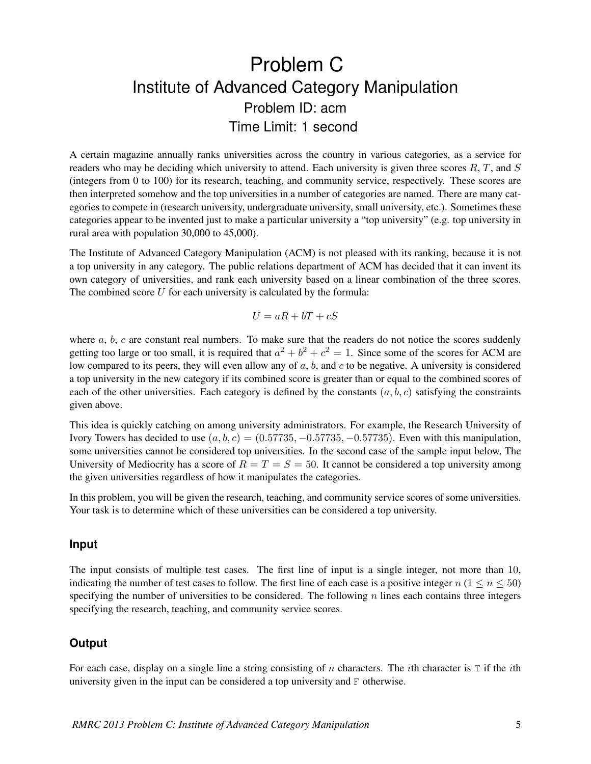## Problem C Institute of Advanced Category Manipulation Problem ID: acm Time Limit: 1 second

A certain magazine annually ranks universities across the country in various categories, as a service for readers who may be deciding which university to attend. Each university is given three scores  $R, T$ , and  $S$ (integers from 0 to 100) for its research, teaching, and community service, respectively. These scores are then interpreted somehow and the top universities in a number of categories are named. There are many categories to compete in (research university, undergraduate university, small university, etc.). Sometimes these categories appear to be invented just to make a particular university a "top university" (e.g. top university in rural area with population 30,000 to 45,000).

The Institute of Advanced Category Manipulation (ACM) is not pleased with its ranking, because it is not a top university in any category. The public relations department of ACM has decided that it can invent its own category of universities, and rank each university based on a linear combination of the three scores. The combined score  $U$  for each university is calculated by the formula:

$$
U = aR + bT + cS
$$

where  $a, b, c$  are constant real numbers. To make sure that the readers do not notice the scores suddenly getting too large or too small, it is required that  $a^2 + b^2 + c^2 = 1$ . Since some of the scores for ACM are low compared to its peers, they will even allow any of  $a, b$ , and  $c$  to be negative. A university is considered a top university in the new category if its combined score is greater than or equal to the combined scores of each of the other universities. Each category is defined by the constants  $(a, b, c)$  satisfying the constraints given above.

This idea is quickly catching on among university administrators. For example, the Research University of Ivory Towers has decided to use  $(a, b, c) = (0.57735, -0.57735, -0.57735)$ . Even with this manipulation, some universities cannot be considered top universities. In the second case of the sample input below, The University of Mediocrity has a score of  $R = T = S = 50$ . It cannot be considered a top university among the given universities regardless of how it manipulates the categories.

In this problem, you will be given the research, teaching, and community service scores of some universities. Your task is to determine which of these universities can be considered a top university.

## **Input**

The input consists of multiple test cases. The first line of input is a single integer, not more than 10, indicating the number of test cases to follow. The first line of each case is a positive integer  $n (1 \le n \le 50)$ specifying the number of universities to be considered. The following  $n$  lines each contains three integers specifying the research, teaching, and community service scores.

## **Output**

For each case, display on a single line a string consisting of n characters. The *i*th character is  $T$  if the *i*th university given in the input can be considered a top university and F otherwise.